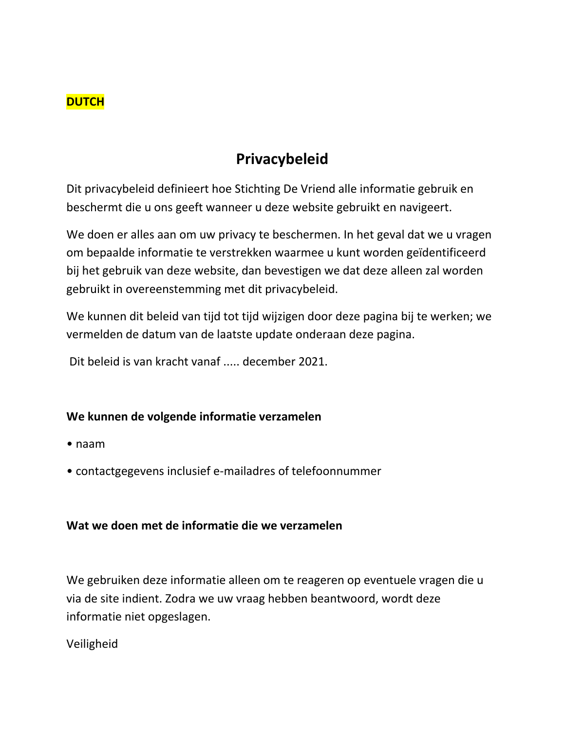

# **Privacybeleid**

Dit privacybeleid definieert hoe Stichting De Vriend alle informatie gebruik en beschermt die u ons geeft wanneer u deze website gebruikt en navigeert.

We doen er alles aan om uw privacy te beschermen. In het geval dat we u vragen om bepaalde informatie te verstrekken waarmee u kunt worden geïdentificeerd bij het gebruik van deze website, dan bevestigen we dat deze alleen zal worden gebruikt in overeenstemming met dit privacybeleid.

We kunnen dit beleid van tijd tot tijd wijzigen door deze pagina bij te werken; we vermelden de datum van de laatste update onderaan deze pagina.

Dit beleid is van kracht vanaf ..... december 2021.

## **We kunnen de volgende informatie verzamelen**

- naam
- contactgegevens inclusief e-mailadres of telefoonnummer

### **Wat we doen met de informatie die we verzamelen**

We gebruiken deze informatie alleen om te reageren op eventuele vragen die u via de site indient. Zodra we uw vraag hebben beantwoord, wordt deze informatie niet opgeslagen.

Veiligheid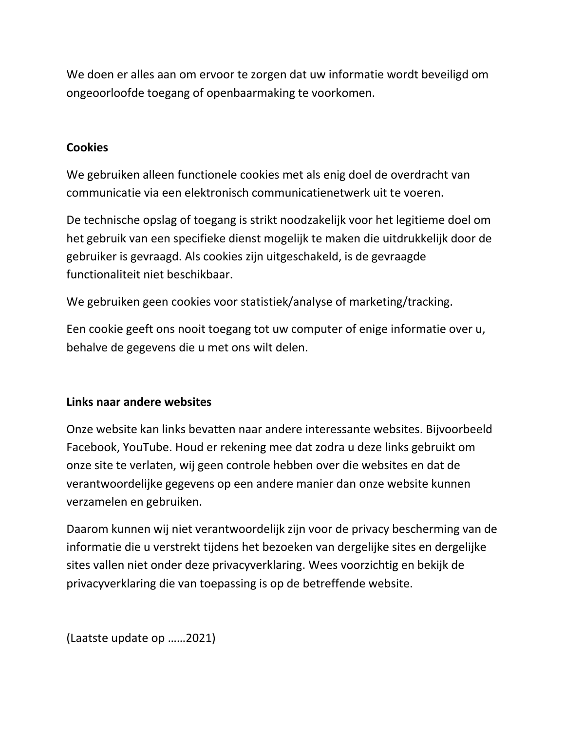We doen er alles aan om ervoor te zorgen dat uw informatie wordt beveiligd om ongeoorloofde toegang of openbaarmaking te voorkomen.

## **Cookies**

We gebruiken alleen functionele cookies met als enig doel de overdracht van communicatie via een elektronisch communicatienetwerk uit te voeren.

De technische opslag of toegang is strikt noodzakelijk voor het legitieme doel om het gebruik van een specifieke dienst mogelijk te maken die uitdrukkelijk door de gebruiker is gevraagd. Als cookies zijn uitgeschakeld, is de gevraagde functionaliteit niet beschikbaar.

We gebruiken geen cookies voor statistiek/analyse of marketing/tracking.

Een cookie geeft ons nooit toegang tot uw computer of enige informatie over u, behalve de gegevens die u met ons wilt delen.

## **Links naar andere websites**

Onze website kan links bevatten naar andere interessante websites. Bijvoorbeeld Facebook, YouTube. Houd er rekening mee dat zodra u deze links gebruikt om onze site te verlaten, wij geen controle hebben over die websites en dat de verantwoordelijke gegevens op een andere manier dan onze website kunnen verzamelen en gebruiken.

Daarom kunnen wij niet verantwoordelijk zijn voor de privacy bescherming van de informatie die u verstrekt tijdens het bezoeken van dergelijke sites en dergelijke sites vallen niet onder deze privacyverklaring. Wees voorzichtig en bekijk de privacyverklaring die van toepassing is op de betreffende website.

(Laatste update op ……2021)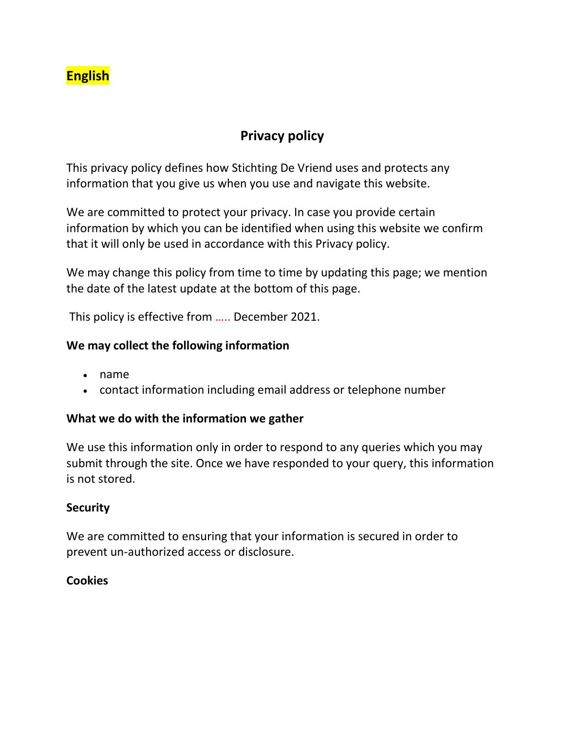# **English**

## **Privacy policy**

This privacy policy defines how Stichting De Vriend uses and protects any information that you give us when you use and navigate this website.

We are committed to protect your privacy. In case you provide certain information by which you can be identified when using this website we confirm that it will only be used in accordance with this Privacy policy.

We may change this policy from time to time by updating this page; we mention the date of the latest update at the bottom of this page.

This policy is effective from ….. December 2021.

### **We may collect the following information**

- name
- contact information including email address or telephone number

### **What we do with the information we gather**

We use this information only in order to respond to any queries which you may submit through the site. Once we have responded to your query, this information is not stored.

### **Security**

We are committed to ensuring that your information is secured in order to prevent un-authorized access or disclosure.

### **Cookies**